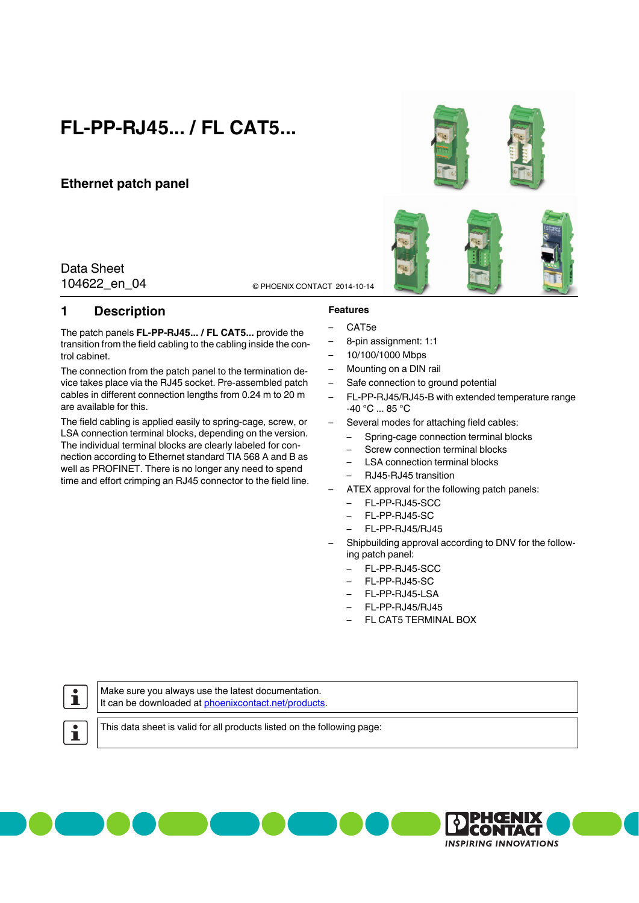# **FL-PP-RJ45... / FL CAT5...**

### **Ethernet patch panel**

### 104622\_en\_04 © PHOENIX CONTACT 2014-10-14 Data Sheet

### <span id="page-0-0"></span>**1 Description**

The patch panels **FL-PP-RJ45... / FL CAT5...** provide the transition from the field cabling to the cabling inside the control cabinet.

The connection from the patch panel to the termination device takes place via the RJ45 socket. Pre-assembled patch cables in different connection lengths from 0.24 m to 20 m are available for this.

The field cabling is applied easily to spring-cage, screw, or LSA connection terminal blocks, depending on the version. The individual terminal blocks are clearly labeled for connection according to Ethernet standard TIA 568 A and B as well as PROFINET. There is no longer any need to spend time and effort crimping an RJ45 connector to the field line.

## **Features**

- CAT5e
- 8-pin assignment: 1:1
- 10/100/1000 Mbps
- Mounting on a DIN rail
- Safe connection to ground potential
- FL-PP-RJ45/RJ45-B with extended temperature range -40 °C ... 85 °C
- Several modes for attaching field cables:
	- Spring-cage connection terminal blocks
	- Screw connection terminal blocks
	- LSA connection terminal blocks
	- RJ45-RJ45 transition
- ATEX approval for the following patch panels:
	- FL-PP-RJ45-SCC
	- FL-PP-RJ45-SC
	- FL-PP-RJ45/RJ45
- Shipbuilding approval according to DNV for the following patch panel:
	- FL-PP-RJ45-SCC
	- FL-PP-RJ45-SC
	- FL-PP-RJ45-LSA
	- FL-PP-RJ45/RJ45
	- FL CAT5 TERMINAL BOX

# $\mathbf i$

Make sure you always use the latest documentation. It can be downloaded at [phoenixcontact.net/products.](http://phoenixcontact.net/products)

 $\mathbf i$ 

This data sheet is valid for all products listed on the following page:



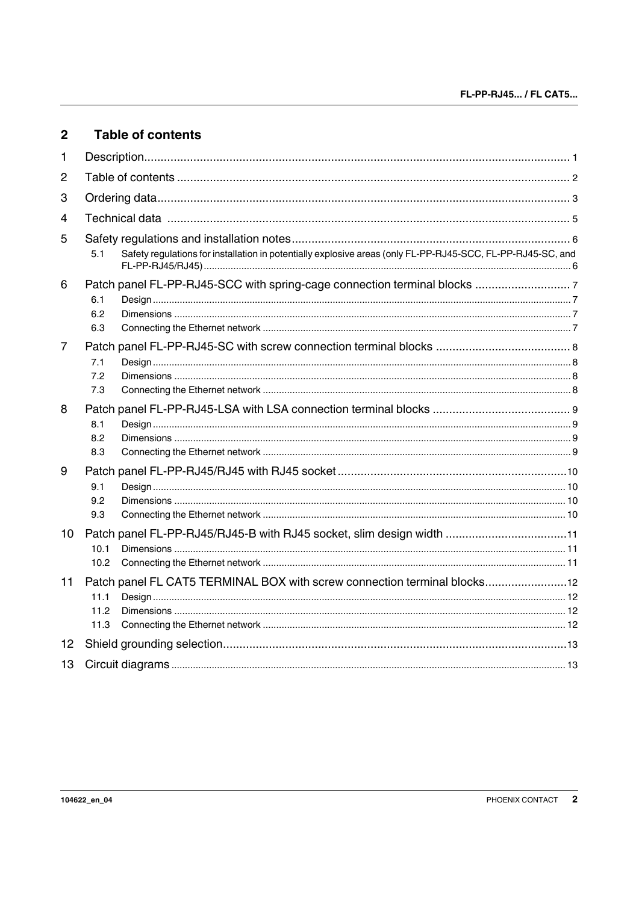<span id="page-1-0"></span>

| $\overline{2}$ | <b>Table of contents</b>                                                                                           |  |  |  |  |
|----------------|--------------------------------------------------------------------------------------------------------------------|--|--|--|--|
| 1              |                                                                                                                    |  |  |  |  |
| $\overline{2}$ |                                                                                                                    |  |  |  |  |
| 3              |                                                                                                                    |  |  |  |  |
| 4              |                                                                                                                    |  |  |  |  |
| 5              |                                                                                                                    |  |  |  |  |
|                | Safety regulations for installation in potentially explosive areas (only FL-PP-RJ45-SCC, FL-PP-RJ45-SC, and<br>5.1 |  |  |  |  |
| 6              | 6.1<br>6.2<br>6.3                                                                                                  |  |  |  |  |
| 7              | 7.1<br>7.2<br>7.3                                                                                                  |  |  |  |  |
| 8              | 8.1<br>8.2<br>8.3                                                                                                  |  |  |  |  |
| 9              | 9.1<br>9.2<br>9.3                                                                                                  |  |  |  |  |
| 10             | Patch panel FL-PP-RJ45/RJ45-B with RJ45 socket, slim design width 11<br>10.1<br>10.2                               |  |  |  |  |
| 11             | Patch panel FL CAT5 TERMINAL BOX with screw connection terminal blocks12<br>11.1<br>11.2<br>11.3                   |  |  |  |  |
| 12             |                                                                                                                    |  |  |  |  |
| 13             |                                                                                                                    |  |  |  |  |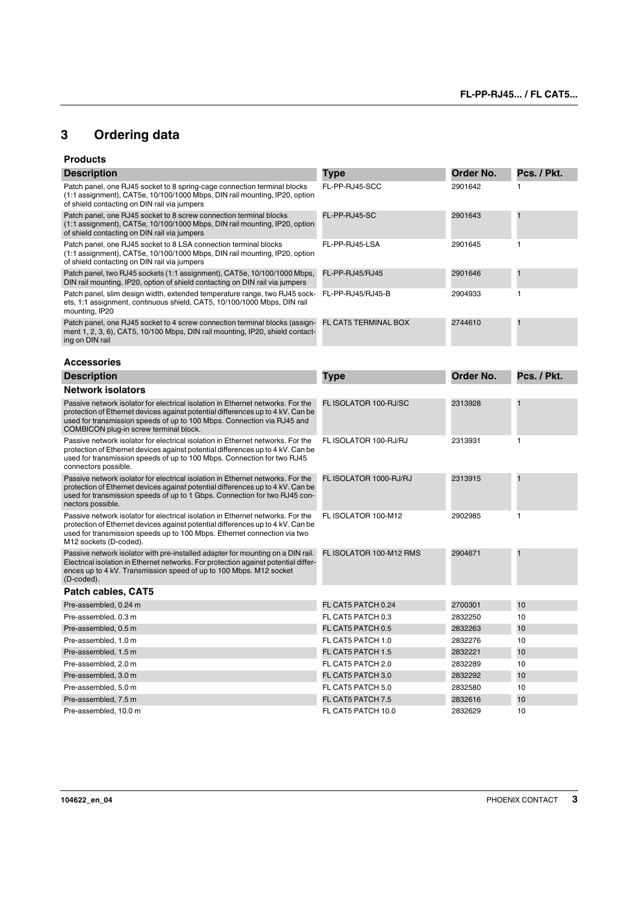## <span id="page-2-0"></span>**[3 Ordering data](#page-0-0)**

#### **Products**

| <b>Description</b>                                                                                                                                                                                                                                                       | Type                        | Order No. | Pcs. / Pkt.             |
|--------------------------------------------------------------------------------------------------------------------------------------------------------------------------------------------------------------------------------------------------------------------------|-----------------------------|-----------|-------------------------|
| Patch panel, one RJ45 socket to 8 spring-cage connection terminal blocks<br>(1:1 assignment), CAT5e, 10/100/1000 Mbps, DIN rail mounting, IP20, option<br>of shield contacting on DIN rail via jumpers                                                                   | FL-PP-RJ45-SCC              | 2901642   | 1                       |
| Patch panel, one RJ45 socket to 8 screw connection terminal blocks<br>(1:1 assignment), CAT5e, 10/100/1000 Mbps, DIN rail mounting, IP20, option<br>of shield contacting on DIN rail via jumpers                                                                         | FL-PP-RJ45-SC               | 2901643   | $\mathbf{1}$            |
| Patch panel, one RJ45 socket to 8 LSA connection terminal blocks<br>$(1:1$ assignment), CAT5e, $10/100/1000$ Mbps, DIN rail mounting, IP20, option<br>of shield contacting on DIN rail via jumpers                                                                       | FL-PP-RJ45-LSA              | 2901645   | 1                       |
| Patch panel, two RJ45 sockets (1:1 assignment), CAT5e, 10/100/1000 Mbps,<br>DIN rail mounting, IP20, option of shield contacting on DIN rail via jumpers                                                                                                                 | FL-PP-RJ45/RJ45             | 2901646   | 1                       |
| Patch panel, slim design width, extended temperature range, two RJ45 sock- FL-PP-RJ45/RJ45-B<br>ets, 1:1 assignment, continuous shield, CAT5, 10/100/1000 Mbps, DIN rail<br>mounting, IP20                                                                               |                             | 2904933   | 1                       |
| Patch panel, one RJ45 socket to 4 screw connection terminal blocks (assign-<br>ment 1, 2, 3, 6), CAT5, 10/100 Mbps, DIN rail mounting, IP20, shield contact-<br>ing on DIN rail                                                                                          | <b>FL CAT5 TERMINAL BOX</b> | 2744610   |                         |
| <b>Accessories</b>                                                                                                                                                                                                                                                       |                             |           |                         |
| <b>Description</b>                                                                                                                                                                                                                                                       | Type                        | Order No. | Pcs. / Pkt.             |
| <b>Network isolators</b>                                                                                                                                                                                                                                                 |                             |           |                         |
| Passive network isolator for electrical isolation in Ethernet networks. For the                                                                                                                                                                                          | FL ISOLATOR 100-RJ/SC       | 2313928   | $\overline{\mathbf{1}}$ |
| protection of Ethernet devices against potential differences up to 4 kV. Can be<br>used for transmission speeds of up to 100 Mbps. Connection via RJ45 and<br>COMBICON plug-in screw terminal block.                                                                     |                             |           |                         |
| Passive network isolator for electrical isolation in Ethernet networks. For the<br>protection of Ethernet devices against potential differences up to 4 kV. Can be<br>used for transmission speeds of up to 100 Mbps. Connection for two RJ45<br>connectors possible.    | FL ISOLATOR 100-RJ/RJ       | 2313931   | 1                       |
| Passive network isolator for electrical isolation in Ethernet networks. For the<br>protection of Ethernet devices against potential differences up to 4 kV. Can be<br>used for transmission speeds of up to 1 Gbps. Connection for two RJ45 con-<br>nectors possible.    | FL ISOLATOR 1000-RJ/RJ      | 2313915   | $\mathbf{1}$            |
| Passive network isolator for electrical isolation in Ethernet networks. For the<br>protection of Ethernet devices against potential differences up to 4 kV. Can be<br>used for transmission speeds up to 100 Mbps. Ethernet connection via two<br>M12 sockets (D-coded). | FL ISOLATOR 100-M12         | 2902985   | 1                       |
| Passive network isolator with pre-installed adapter for mounting on a DIN rail.<br>Electrical isolation in Ethernet networks. For protection against potential differ-<br>ences up to 4 kV. Transmission speed of up to 100 Mbps. M12 socket<br>(D-coded).               | FL ISOLATOR 100-M12 RMS     | 2904671   | $\mathbf{1}$            |
| Patch cables, CAT5                                                                                                                                                                                                                                                       |                             |           |                         |
| Pre-assembled, 0.24 m                                                                                                                                                                                                                                                    | FL CAT5 PATCH 0.24          | 2700301   | 10                      |
| Pre-assembled, 0.3 m                                                                                                                                                                                                                                                     | FL CAT5 PATCH 0.3           | 2832250   | 10                      |
| Pre-assembled, 0.5 m                                                                                                                                                                                                                                                     | FL CAT5 PATCH 0.5           | 2832263   | 10                      |
| Pre-assembled, 1.0 m                                                                                                                                                                                                                                                     | FL CAT5 PATCH 1.0           | 2832276   | 10                      |
| Pre-assembled, 1.5 m                                                                                                                                                                                                                                                     | FL CAT5 PATCH 1.5           | 2832221   | 10                      |
| Pre-assembled, 2.0 m                                                                                                                                                                                                                                                     | FL CAT5 PATCH 2.0           | 2832289   | 10                      |
| Pre-assembled, 3.0 m                                                                                                                                                                                                                                                     | FL CAT5 PATCH 3.0           | 2832292   | 10                      |
| Pre-assembled, 5.0 m                                                                                                                                                                                                                                                     | FL CAT5 PATCH 5.0           | 2832580   | 10                      |
| Pre-assembled, 7.5 m                                                                                                                                                                                                                                                     | <b>FL CAT5 PATCH 7.5</b>    | 2832616   | 10                      |
| Pre-assembled, 10.0 m                                                                                                                                                                                                                                                    | FL CAT5 PATCH 10.0          | 2832629   | 10                      |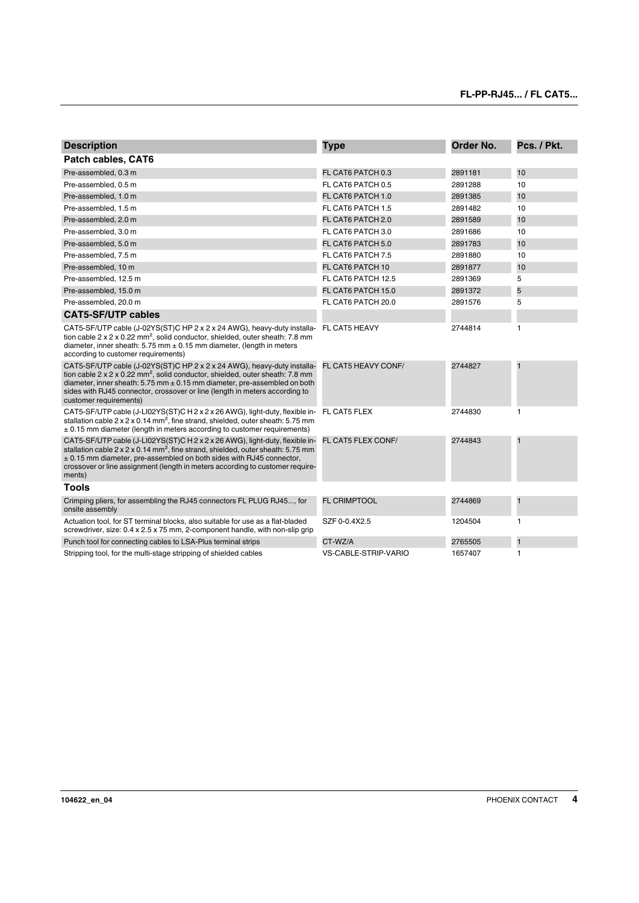| <b>Description</b>                                                                                                                                                                                                                                                                                                                                               | <b>Type</b>                 | Order No. | Pcs. / Pkt.    |
|------------------------------------------------------------------------------------------------------------------------------------------------------------------------------------------------------------------------------------------------------------------------------------------------------------------------------------------------------------------|-----------------------------|-----------|----------------|
| Patch cables, CAT6                                                                                                                                                                                                                                                                                                                                               |                             |           |                |
| Pre-assembled, 0.3 m                                                                                                                                                                                                                                                                                                                                             | FL CAT6 PATCH 0.3           | 2891181   | 10             |
| Pre-assembled, 0.5 m                                                                                                                                                                                                                                                                                                                                             | FL CAT6 PATCH 0.5           | 2891288   | 10             |
| Pre-assembled, 1.0 m                                                                                                                                                                                                                                                                                                                                             | FL CAT6 PATCH 1.0           | 2891385   | 10             |
| Pre-assembled, 1.5 m                                                                                                                                                                                                                                                                                                                                             | FL CAT6 PATCH 1.5           | 2891482   | 10             |
| Pre-assembled, 2.0 m                                                                                                                                                                                                                                                                                                                                             | FL CAT6 PATCH 2.0           | 2891589   | 10             |
| Pre-assembled, 3.0 m                                                                                                                                                                                                                                                                                                                                             | FL CAT6 PATCH 3.0           | 2891686   | 10             |
| Pre-assembled, 5.0 m                                                                                                                                                                                                                                                                                                                                             | FL CAT6 PATCH 5.0           | 2891783   | 10             |
| Pre-assembled, 7.5 m                                                                                                                                                                                                                                                                                                                                             | FL CAT6 PATCH 7.5           | 2891880   | 10             |
| Pre-assembled, 10 m                                                                                                                                                                                                                                                                                                                                              | FL CAT6 PATCH 10            | 2891877   | 10             |
| Pre-assembled, 12.5 m                                                                                                                                                                                                                                                                                                                                            | FL CAT6 PATCH 12.5          | 2891369   | 5              |
| Pre-assembled, 15.0 m                                                                                                                                                                                                                                                                                                                                            | FL CAT6 PATCH 15.0          | 2891372   | 5              |
| Pre-assembled, 20.0 m                                                                                                                                                                                                                                                                                                                                            | FL CAT6 PATCH 20.0          | 2891576   | 5              |
| <b>CAT5-SF/UTP cables</b>                                                                                                                                                                                                                                                                                                                                        |                             |           |                |
| CAT5-SF/UTP cable (J-02YS(ST)C HP 2 x 2 x 24 AWG), heavy-duty installa-<br>tion cable $2 \times 2 \times 0.22$ mm <sup>2</sup> , solid conductor, shielded, outer sheath: 7.8 mm<br>diameter, inner sheath: $5.75$ mm $\pm$ 0.15 mm diameter, (length in meters<br>according to customer requirements)                                                           | FL CAT5 HEAVY               | 2744814   | 1              |
| CAT5-SF/UTP cable (J-02YS(ST)C HP 2 x 2 x 24 AWG), heavy-duty installa-<br>tion cable 2 x 2 x 0.22 mm <sup>2</sup> , solid conductor, shielded, outer sheath: 7.8 mm<br>diameter, inner sheath: $5.75$ mm $\pm$ 0.15 mm diameter, pre-assembled on both<br>sides with RJ45 connector, crossover or line (length in meters according to<br>customer requirements) | FL CAT5 HEAVY CONF/         | 2744827   | $\blacksquare$ |
| CAT5-SF/UTP cable (J-LI02YS(ST)C H 2 x 2 x 26 AWG), light-duty, flexible in-<br>stallation cable $2 \times 2 \times 0.14$ mm <sup>2</sup> , fine strand, shielded, outer sheath: 5.75 mm<br>± 0.15 mm diameter (length in meters according to customer requirements)                                                                                             | FL CAT5 FLEX                | 2744830   | 1              |
| CAT5-SF/UTP cable (J-LI02YS(ST)C H 2 x 2 x 26 AWG), light-duty, flexible in-<br>stallation cable $2 \times 2 \times 0.14$ mm <sup>2</sup> , fine strand, shielded, outer sheath: 5.75 mm<br>± 0.15 mm diameter, pre-assembled on both sides with RJ45 connector,<br>crossover or line assignment (length in meters according to customer require-<br>ments)      | FL CAT5 FLEX CONF/          | 2744843   | $\mathbf{1}$   |
| <b>Tools</b>                                                                                                                                                                                                                                                                                                                                                     |                             |           |                |
| Crimping pliers, for assembling the RJ45 connectors FL PLUG RJ45, for<br>onsite assembly                                                                                                                                                                                                                                                                         | <b>FL CRIMPTOOL</b>         | 2744869   | $\blacksquare$ |
| Actuation tool, for ST terminal blocks, also suitable for use as a flat-bladed<br>screwdriver, size: 0.4 x 2.5 x 75 mm, 2-component handle, with non-slip grip                                                                                                                                                                                                   | SZF 0-0.4X2.5               | 1204504   | 1              |
| Punch tool for connecting cables to LSA-Plus terminal strips                                                                                                                                                                                                                                                                                                     | CT-WZ/A                     | 2765505   | $\mathbf{1}$   |
| Stripping tool, for the multi-stage stripping of shielded cables                                                                                                                                                                                                                                                                                                 | <b>VS-CABLE-STRIP-VARIO</b> | 1657407   | 1              |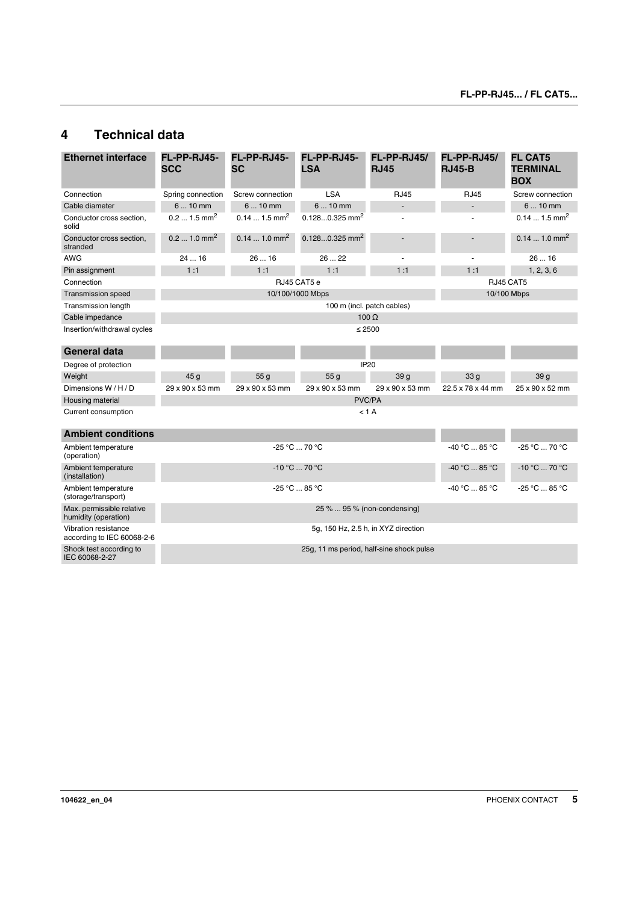### <span id="page-4-0"></span>**4 Technical data**

| <b>Ethernet interface</b>                          | FL-PP-RJ45-<br><b>SCC</b>                     | FL-PP-RJ45-<br><b>SC</b>  | FL-PP-RJ45-<br><b>LSA</b>    | FL-PP-RJ45/<br><b>RJ45</b> | FL-PP-RJ45/<br><b>RJ45-B</b>                  | <b>FL CAT5</b><br><b>TERMINAL</b><br><b>BOX</b> |
|----------------------------------------------------|-----------------------------------------------|---------------------------|------------------------------|----------------------------|-----------------------------------------------|-------------------------------------------------|
| Connection                                         | Spring connection                             | Screw connection          | <b>LSA</b>                   | <b>RJ45</b>                | <b>RJ45</b>                                   | Screw connection                                |
| Cable diameter                                     | 6  10 mm                                      | 6  10 mm                  | $610$ mm                     | ÷,                         | $\blacksquare$                                | 6  10 mm                                        |
| Conductor cross section,<br>solid                  | $0.2$ 1.5 mm <sup>2</sup>                     | $0.141.5$ mm <sup>2</sup> | $0.1280.325$ mm <sup>2</sup> | Ĭ.                         |                                               | $0.141.5$ mm <sup>2</sup>                       |
| Conductor cross section.<br>stranded               | $0.2$ 1.0 mm <sup>2</sup>                     | $0.141.0$ mm <sup>2</sup> | $0.1280.325$ mm <sup>2</sup> | $\overline{\phantom{a}}$   |                                               | $0.141.0$ mm <sup>2</sup>                       |
| <b>AWG</b>                                         | 2416                                          | 2616                      | 26  22                       |                            |                                               | 2616                                            |
| Pin assignment                                     | 1:1                                           | 1:1                       | 1:1                          | 1:1                        | 1:1                                           | 1, 2, 3, 6                                      |
| Connection                                         |                                               |                           | RJ45 CAT5 e                  |                            | RJ45 CAT5                                     |                                                 |
| <b>Transmission speed</b>                          | 10/100/1000 Mbps                              |                           |                              |                            | 10/100 Mbps                                   |                                                 |
| <b>Transmission length</b>                         | 100 m (incl. patch cables)                    |                           |                              |                            |                                               |                                                 |
| Cable impedance                                    | $100 \Omega$                                  |                           |                              |                            |                                               |                                                 |
| Insertion/withdrawal cycles                        |                                               |                           | $\leq 2500$                  |                            |                                               |                                                 |
| <b>General data</b>                                |                                               |                           |                              |                            |                                               |                                                 |
| Degree of protection                               |                                               |                           |                              | <b>IP20</b>                |                                               |                                                 |
| Weight                                             | 45 <sub>g</sub>                               | 55 <sub>g</sub>           | 55 <sub>g</sub>              | 39 <sub>g</sub>            | 33 <sub>q</sub>                               | 39q                                             |
| Dimensions W/H/D                                   | 29 x 90 x 53 mm                               | 29 x 90 x 53 mm           | 29 x 90 x 53 mm              | 29 x 90 x 53 mm            | 22.5 x 78 x 44 mm                             | 25 x 90 x 52 mm                                 |
| Housing material                                   |                                               |                           | PVC/PA                       |                            |                                               |                                                 |
| Current consumption                                |                                               |                           |                              | $< 1$ A                    |                                               |                                                 |
| <b>Ambient conditions</b>                          |                                               |                           |                              |                            |                                               |                                                 |
| Ambient temperature<br>(operation)                 |                                               |                           | -25 °C  70 °C                |                            | $-40 °C  85 °C$                               | -25 °C  70 °C                                   |
| Ambient temperature<br>(installation)              | $-10 °C  70 °C$                               |                           |                              | $-40 °C$ 85 °C             | $-10\,^{\circ}\text{C}$ 70 $^{\circ}\text{C}$ |                                                 |
| Ambient temperature<br>(storage/transport)         | $-25\,^{\circ}\text{C}$ 85 $^{\circ}\text{C}$ |                           |                              | $-40 °C$ 85 °C             | -25 °C  85 °C                                 |                                                 |
| Max. permissible relative<br>humidity (operation)  | 25 %  95 % (non-condensing)                   |                           |                              |                            |                                               |                                                 |
| Vibration resistance<br>according to IEC 60068-2-6 | 5g, 150 Hz, 2.5 h, in XYZ direction           |                           |                              |                            |                                               |                                                 |
| Shock test according to<br>IEC 60068-2-27          | 25g, 11 ms period, half-sine shock pulse      |                           |                              |                            |                                               |                                                 |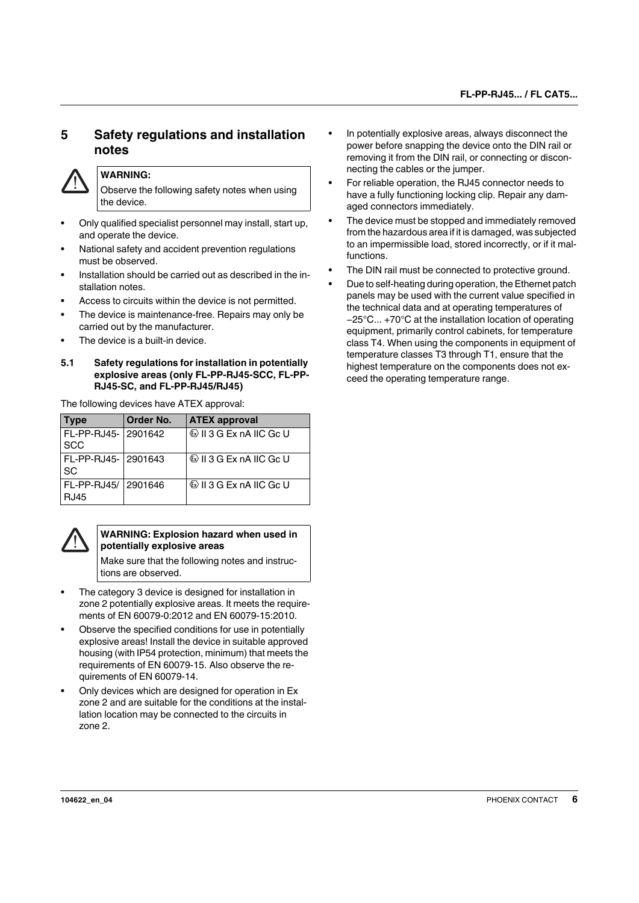### <span id="page-5-0"></span>**5 Safety regulations and installation notes**



### **WARNING:**

Observe the following safety notes when using the device.

- **•** Only qualified specialist personnel may install, start up, and operate the device.
- **•** National safety and accident prevention regulations must be observed.
- **•** Installation should be carried out as described in the installation notes.
- **•** Access to circuits within the device is not permitted.
- **•** The device is maintenance-free. Repairs may only be carried out by the manufacturer.
- **•** The device is a built-in device.

#### <span id="page-5-1"></span>**5.1 Safety regulations for installation in potentially explosive areas (only FL-PP-RJ45-SCC, FL-PP-RJ45-SC, and FL-PP-RJ45/RJ45)**

The following devices have ATEX approval:

| <b>Type</b>                          | Order No. | <b>ATEX approval</b>               |
|--------------------------------------|-----------|------------------------------------|
| FL-PP-RJ45- 2901642<br><b>SCC</b>    |           | <b>E</b> II 3 G Ex nA IIC Gc U     |
| FL-PP-RJ45-   2901643<br><b>SC</b>   |           | <b>&amp; II 3 G Ex nA IIC Gc U</b> |
| FL-PP-RJ45/   2901646<br><b>RJ45</b> |           | <b>E</b> II 3 G Ex nA IIC Gc U     |



#### **WARNING: Explosion hazard when used in potentially explosive areas**

Make sure that the following notes and instructions are observed.

- **•** The category 3 device is designed for installation in zone 2 potentially explosive areas. It meets the requirements of EN 60079-0:2012 and EN 60079-15:2010.
- **•** Observe the specified conditions for use in potentially explosive areas! Install the device in suitable approved housing (with IP54 protection, minimum) that meets the requirements of EN 60079-15. Also observe the requirements of EN 60079-14.
- **•** Only devices which are designed for operation in Ex zone 2 and are suitable for the conditions at the installation location may be connected to the circuits in zone 2.
- **•** In potentially explosive areas, always disconnect the power before snapping the device onto the DIN rail or removing it from the DIN rail, or connecting or disconnecting the cables or the jumper.
- **•** For reliable operation, the RJ45 connector needs to have a fully functioning locking clip. Repair any damaged connectors immediately.
- **•** The device must be stopped and immediately removed from the hazardous area if it is damaged, was subjected to an impermissible load, stored incorrectly, or if it malfunctions.
- **•** The DIN rail must be connected to protective ground.
- **•** Due to self-heating during operation, the Ethernet patch panels may be used with the current value specified in the technical data and at operating temperatures of −25°C... +70°C at the installation location of operating equipment, primarily control cabinets, for temperature class T4. When using the components in equipment of temperature classes T3 through T1, ensure that the highest temperature on the components does not exceed the operating temperature range.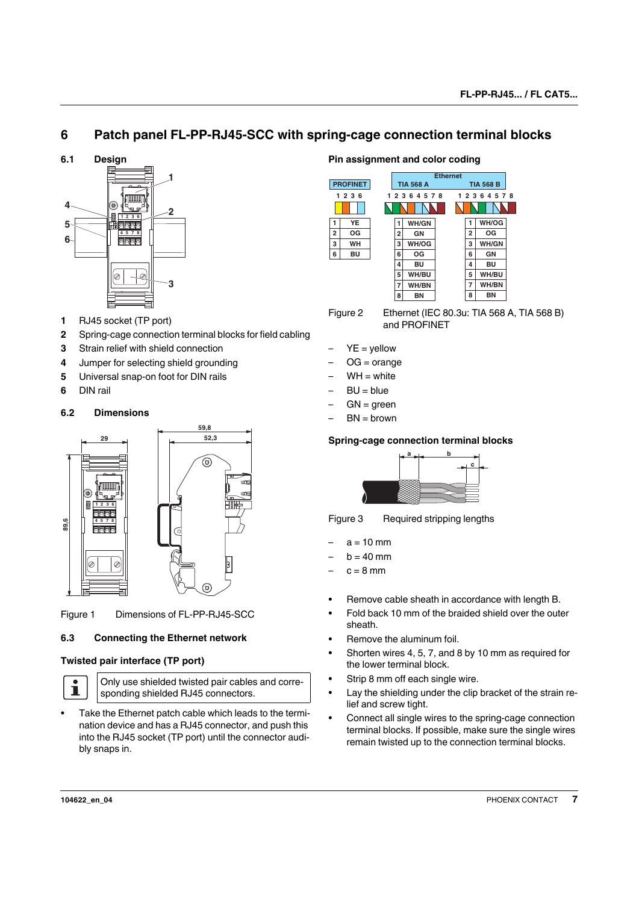### <span id="page-6-0"></span>**6 Patch panel FL-PP-RJ45-SCC with spring-cage connection terminal blocks**

<span id="page-6-1"></span>**6.1 Design**



- **1** RJ45 socket (TP port)
- **2** Spring-cage connection terminal blocks for field cabling
- **3** Strain relief with shield connection
- **4** Jumper for selecting shield grounding
- **5** Universal snap-on foot for DIN rails
- **6** DIN rail

#### <span id="page-6-2"></span>**6.2 Dimensions**



Figure 1 Dimensions of FL-PP-RJ45-SCC

### <span id="page-6-3"></span>**6.3 Connecting the Ethernet network**

#### **Twisted pair interface (TP port)**



Only use shielded twisted pair cables and corresponding shielded RJ45 connectors.

**•** Take the Ethernet patch cable which leads to the termination device and has a RJ45 connector, and push this into the RJ45 socket (TP port) until the connector audibly snaps in.

#### **Pin assignment and color coding**



Figure 2 Ethernet (IEC 80.3u: TIA 568 A, TIA 568 B) and PROFINET

- $YE =$  yellow
- $OG = \text{orange}$
- $WH = white$
- $BU = bIue$
- $GN = green$
- $BN = brown$

#### **Spring-cage connection terminal blocks**



Figure 3 Required stripping lengths

- $a = 10$  mm
- $b = 40$  mm
- $c = 8$  mm
- **•** Remove cable sheath in accordance with length B.
- **•** Fold back 10 mm of the braided shield over the outer sheath.
- **•** Remove the aluminum foil.
- **•** Shorten wires 4, 5, 7, and 8 by 10 mm as required for the lower terminal block.
- **•** Strip 8 mm off each single wire.
- **•** Lay the shielding under the clip bracket of the strain relief and screw tight.
- **•** Connect all single wires to the spring-cage connection terminal blocks. If possible, make sure the single wires remain twisted up to the connection terminal blocks.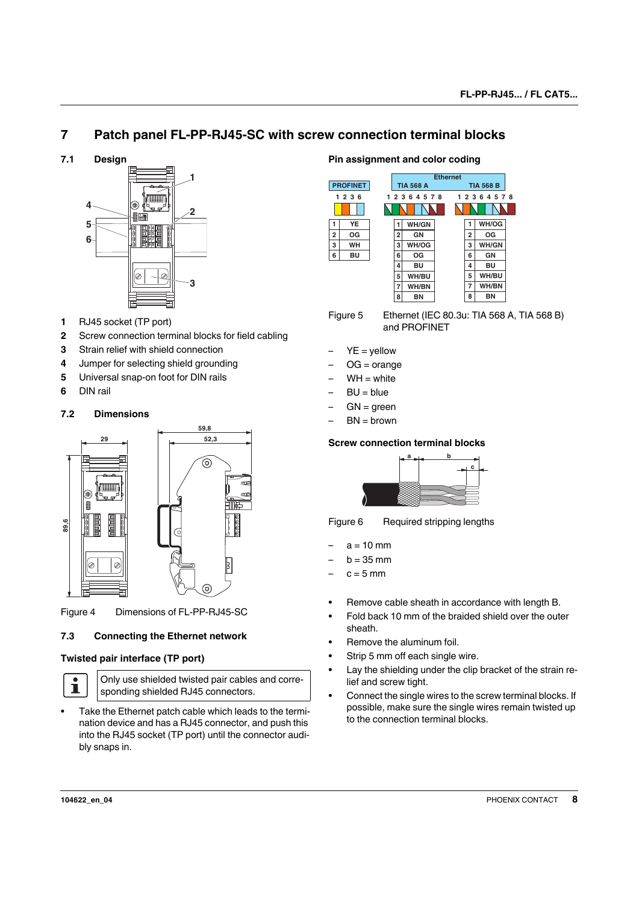### <span id="page-7-0"></span>**7 Patch panel FL-PP-RJ45-SC with screw connection terminal blocks**

<span id="page-7-1"></span>**7.1 Design**



- **1** RJ45 socket (TP port)
- **2** Screw connection terminal blocks for field cabling
- **3** Strain relief with shield connection
- **4** Jumper for selecting shield grounding
- **5** Universal snap-on foot for DIN rails
- **6** DIN rail

### <span id="page-7-2"></span>**7.2 Dimensions**



Figure 4 Dimensions of FL-PP-RJ45-SC

### <span id="page-7-3"></span>**7.3 Connecting the Ethernet network**

### **Twisted pair interface (TP port)**



Only use shielded twisted pair cables and corresponding shielded RJ45 connectors.

**•** Take the Ethernet patch cable which leads to the termination device and has a RJ45 connector, and push this into the RJ45 socket (TP port) until the connector audibly snaps in.

### **Pin assignment and color coding**



Figure 5 Ethernet (IEC 80.3u: TIA 568 A, TIA 568 B) and PROFINET

- $YE =$  yellow
- $OG = orange$
- $WH = white$
- $BU = blue$
- $GN =$  green
- $BN = brown$

### **Screw connection terminal blocks**



Figure 6 Required stripping lengths

- $a = 10$  mm
- $h = 35$  mm
- $c = 5$  mm
- **•** Remove cable sheath in accordance with length B.
- **•** Fold back 10 mm of the braided shield over the outer sheath.
- **•** Remove the aluminum foil.
- **•** Strip 5 mm off each single wire.
- **•** Lay the shielding under the clip bracket of the strain relief and screw tight.
- **•** Connect the single wires to the screw terminal blocks. If possible, make sure the single wires remain twisted up to the connection terminal blocks.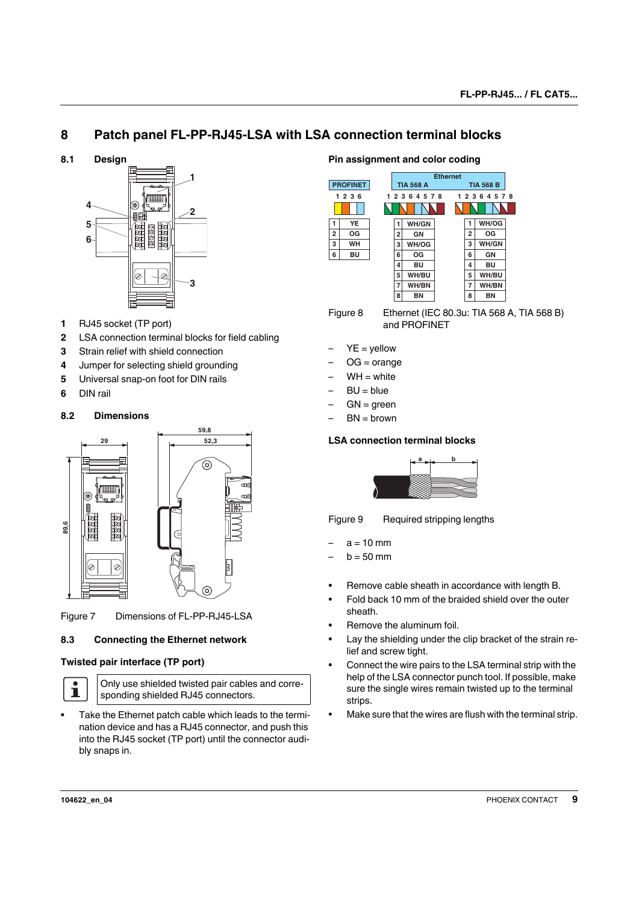### <span id="page-8-0"></span>**8 Patch panel FL-PP-RJ45-LSA with LSA connection terminal blocks**

<span id="page-8-1"></span>**8.1 Design**



- **1** RJ45 socket (TP port)
- **2** LSA connection terminal blocks for field cabling
- **3** Strain relief with shield connection
- **4** Jumper for selecting shield grounding
- **5** Universal snap-on foot for DIN rails
- **6** DIN rail

### <span id="page-8-2"></span>**8.2 Dimensions**



Figure 7 Dimensions of FL-PP-RJ45-LSA

### <span id="page-8-3"></span>**8.3 Connecting the Ethernet network**

### **Twisted pair interface (TP port)**



Only use shielded twisted pair cables and corresponding shielded RJ45 connectors.

**•** Take the Ethernet patch cable which leads to the termination device and has a RJ45 connector, and push this into the RJ45 socket (TP port) until the connector audibly snaps in.

#### **Pin assignment and color coding**



Figure 8 Ethernet (IEC 80.3u: TIA 568 A, TIA 568 B) and PROFINET

- $YE =$  yellow
- $OG = orange$
- $WH = white$
- $BU = bIue$
- $GN = green$
- $BN = brown$

### **LSA connection terminal blocks**



Figure 9 Required stripping lengths

- $a = 10$  mm
- $b = 50$  mm
- **•** Remove cable sheath in accordance with length B.
- **•** Fold back 10 mm of the braided shield over the outer sheath.
- **•** Remove the aluminum foil.
- **•** Lay the shielding under the clip bracket of the strain relief and screw tight.
- **•** Connect the wire pairs to the LSA terminal strip with the help of the LSA connector punch tool. If possible, make sure the single wires remain twisted up to the terminal strips.
- **•** Make sure that the wires are flush with the terminal strip.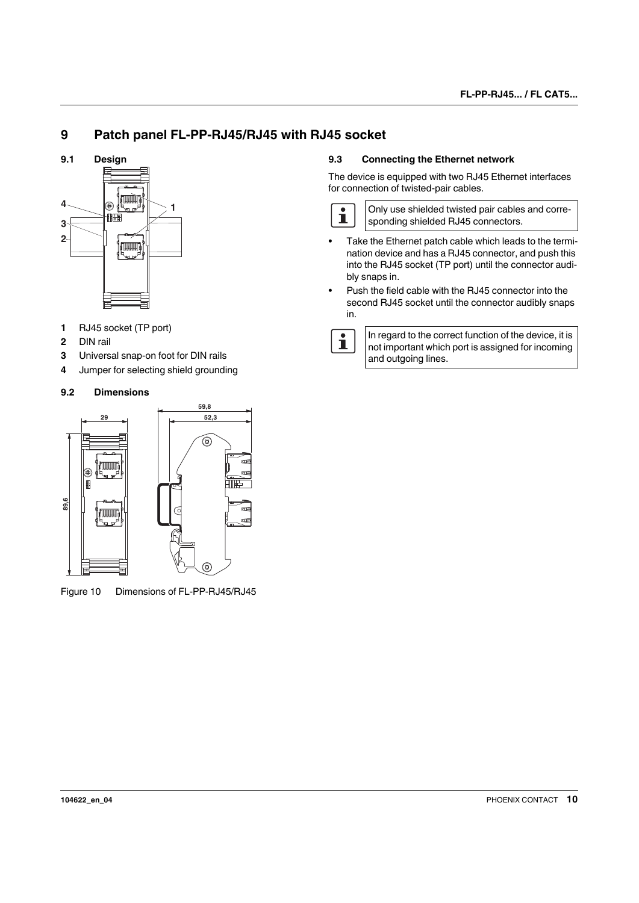### <span id="page-9-0"></span>**9 Patch panel FL-PP-RJ45/RJ45 with RJ45 socket**

<span id="page-9-1"></span>**9.1 Design**



- **1** RJ45 socket (TP port)
- **2** DIN rail
- **3** Universal snap-on foot for DIN rails
- **4** Jumper for selecting shield grounding

### <span id="page-9-2"></span>**9.2 Dimensions**



Figure 10 Dimensions of FL-PP-RJ45/RJ45

### <span id="page-9-3"></span>**9.3 Connecting the Ethernet network**

The device is equipped with two RJ45 Ethernet interfaces for connection of twisted-pair cables.



Only use shielded twisted pair cables and corresponding shielded RJ45 connectors.

- **•** Take the Ethernet patch cable which leads to the termination device and has a RJ45 connector, and push this into the RJ45 socket (TP port) until the connector audibly snaps in.
- **•** Push the field cable with the RJ45 connector into the second RJ45 socket until the connector audibly snaps in.



In regard to the correct function of the device, it is not important which port is assigned for incoming and outgoing lines.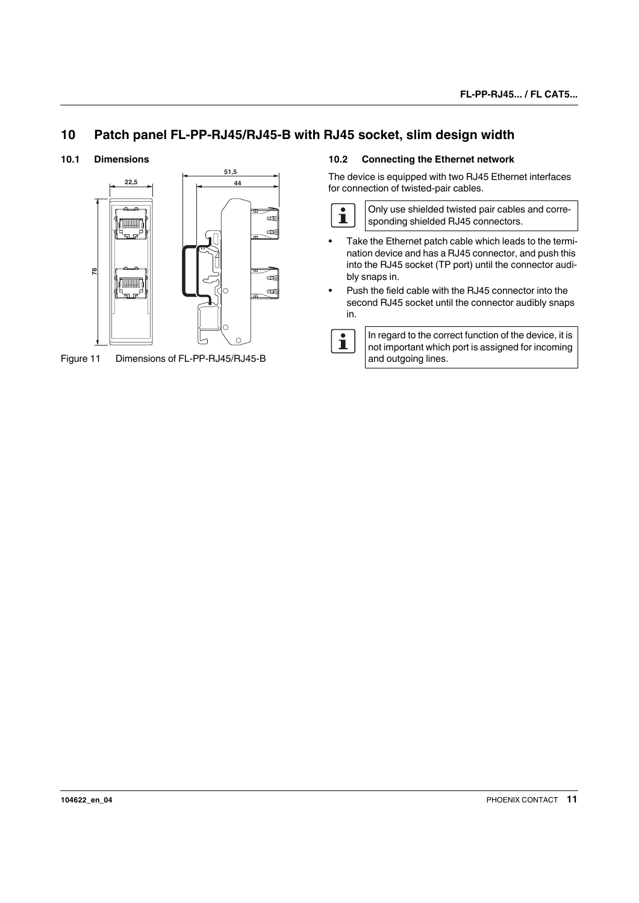### <span id="page-10-0"></span>**10 Patch panel FL-PP-RJ45/RJ45-B with RJ45 socket, slim design width**

#### <span id="page-10-1"></span>**10.1 Dimensions**



Figure 11 Dimensions of FL-PP-RJ45/RJ45-B

#### <span id="page-10-2"></span>**10.2 Connecting the Ethernet network**

The device is equipped with two RJ45 Ethernet interfaces for connection of twisted-pair cables.



- **•** Take the Ethernet patch cable which leads to the termination device and has a RJ45 connector, and push this into the RJ45 socket (TP port) until the connector audibly snaps in.
- **•** Push the field cable with the RJ45 connector into the second RJ45 socket until the connector audibly snaps in.

 $\overline{\mathbf{i}}$ In regard to the correct function of the device, it is not important which port is assigned for incoming and outgoing lines.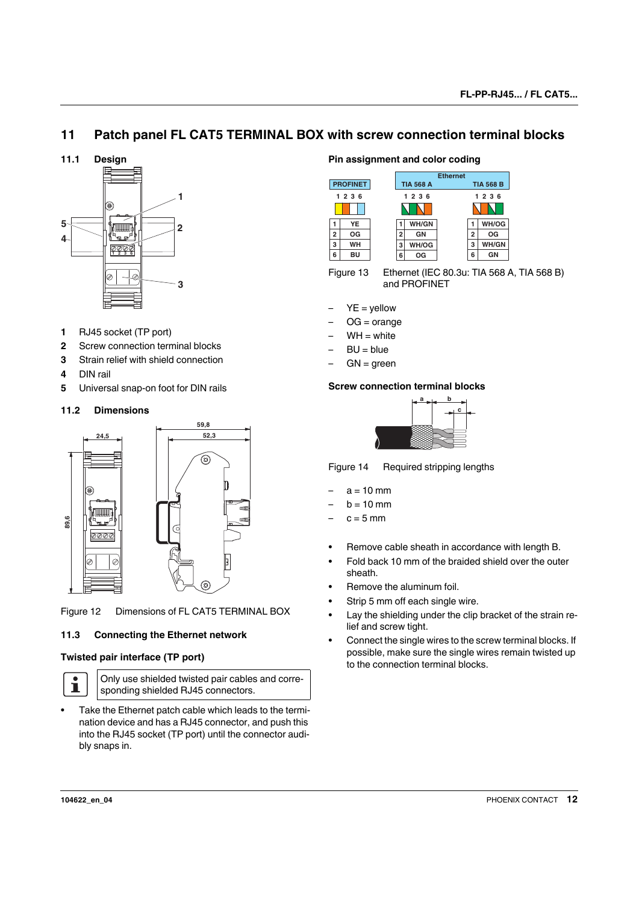### <span id="page-11-0"></span>**11 Patch panel FL CAT5 TERMINAL BOX with screw connection terminal blocks**

<span id="page-11-1"></span>**11.1 Design**



- **1** RJ45 socket (TP port)
- **2** Screw connection terminal blocks
- **3** Strain relief with shield connection
- **4** DIN rail
- **5** Universal snap-on foot for DIN rails

### <span id="page-11-2"></span>**11.2 Dimensions**



Figure 12 Dimensions of FL CAT5 TERMINAL BOX

### <span id="page-11-3"></span>**11.3 Connecting the Ethernet network**

#### **Twisted pair interface (TP port)**



Only use shielded twisted pair cables and corresponding shielded RJ45 connectors.

**•** Take the Ethernet patch cable which leads to the termination device and has a RJ45 connector, and push this into the RJ45 socket (TP port) until the connector audibly snaps in.

#### **Pin assignment and color coding**



Figure 13 Ethernet (IEC 80.3u: TIA 568 A, TIA 568 B) and PROFINET

- $YE =$  yellow
- $OG = orange$
- $WH = white$
- $B U = b I u e$
- $GN = green$

#### **Screw connection terminal blocks**



Figure 14 Required stripping lengths

- $a = 10$  mm
- $b = 10$  mm
- $c = 5$  mm
- **•** Remove cable sheath in accordance with length B.
- **•** Fold back 10 mm of the braided shield over the outer sheath.
- **•** Remove the aluminum foil.
- **•** Strip 5 mm off each single wire.
- **•** Lay the shielding under the clip bracket of the strain relief and screw tight.
- **•** Connect the single wires to the screw terminal blocks. If possible, make sure the single wires remain twisted up to the connection terminal blocks.